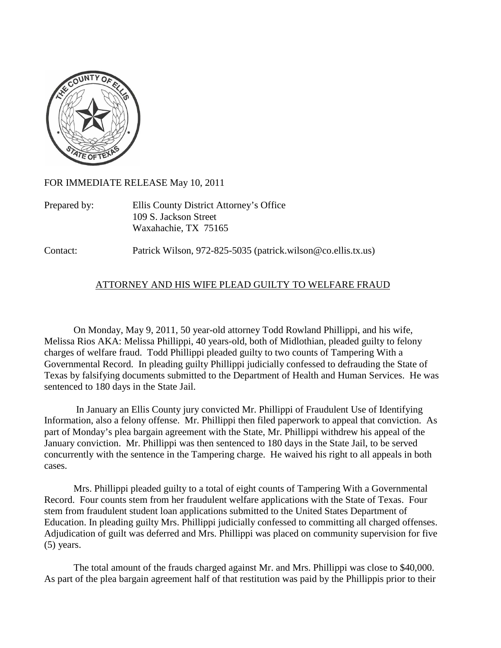

FOR IMMEDIATE RELEASE May 10, 2011

Prepared by: Ellis County District Attorney's Office 109 S. Jackson Street Waxahachie, TX 75165

Contact: Patrick Wilson, 972-825-5035 (patrick.wilson@co.ellis.tx.us)

## ATTORNEY AND HIS WIFE PLEAD GUILTY TO WELFARE FRAUD

On Monday, May 9, 2011, 50 year-old attorney Todd Rowland Phillippi, and his wife, Melissa Rios AKA: Melissa Phillippi, 40 years-old, both of Midlothian, pleaded guilty to felony charges of welfare fraud. Todd Phillippi pleaded guilty to two counts of Tampering With a Governmental Record. In pleading guilty Phillippi judicially confessed to defrauding the State of Texas by falsifying documents submitted to the Department of Health and Human Services. He was sentenced to 180 days in the State Jail.

In January an Ellis County jury convicted Mr. Phillippi of Fraudulent Use of Identifying Information, also a felony offense. Mr. Phillippi then filed paperwork to appeal that conviction. As part of Monday's plea bargain agreement with the State, Mr. Phillippi withdrew his appeal of the January conviction. Mr. Phillippi was then sentenced to 180 days in the State Jail, to be served concurrently with the sentence in the Tampering charge. He waived his right to all appeals in both cases.

Mrs. Phillippi pleaded guilty to a total of eight counts of Tampering With a Governmental Record. Four counts stem from her fraudulent welfare applications with the State of Texas. Four stem from fraudulent student loan applications submitted to the United States Department of Education. In pleading guilty Mrs. Phillippi judicially confessed to committing all charged offenses. Adjudication of guilt was deferred and Mrs. Phillippi was placed on community supervision for five (5) years.

The total amount of the frauds charged against Mr. and Mrs. Phillippi was close to \$40,000. As part of the plea bargain agreement half of that restitution was paid by the Phillippis prior to their